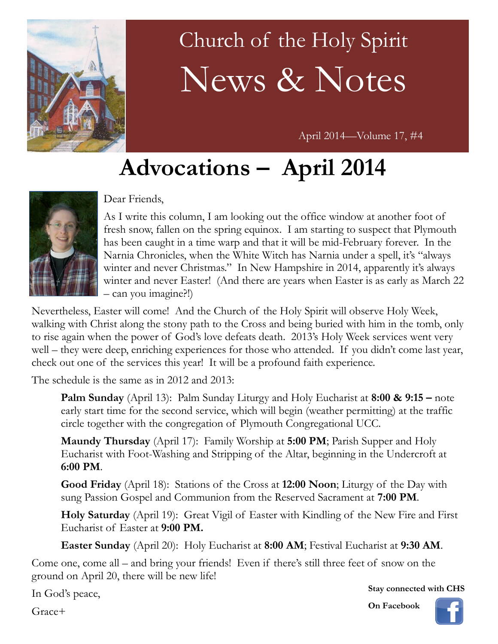

# Church of the Holy Spirit News & Notes

April 2014—Volume 17, #4

# **Advocations – April 2014**



#### Dear Friends,

As I write this column, I am looking out the office window at another foot of fresh snow, fallen on the spring equinox. I am starting to suspect that Plymouth has been caught in a time warp and that it will be mid-February forever. In the Narnia Chronicles, when the White Witch has Narnia under a spell, it's "always winter and never Christmas." In New Hampshire in 2014, apparently it's always winter and never Easter! (And there are years when Easter is as early as March 22 – can you imagine?!)

Nevertheless, Easter will come! And the Church of the Holy Spirit will observe Holy Week, walking with Christ along the stony path to the Cross and being buried with him in the tomb, only to rise again when the power of God's love defeats death. 2013's Holy Week services went very well – they were deep, enriching experiences for those who attended. If you didn't come last year, check out one of the services this year! It will be a profound faith experience.

The schedule is the same as in 2012 and 2013:

**Palm Sunday** (April 13): Palm Sunday Liturgy and Holy Eucharist at **8:00 & 9:15 –** note early start time for the second service, which will begin (weather permitting) at the traffic circle together with the congregation of Plymouth Congregational UCC.

**Maundy Thursday** (April 17): Family Worship at **5:00 PM**; Parish Supper and Holy Eucharist with Foot-Washing and Stripping of the Altar, beginning in the Undercroft at **6:00 PM**.

**Good Friday** (April 18): Stations of the Cross at **12:00 Noon**; Liturgy of the Day with sung Passion Gospel and Communion from the Reserved Sacrament at **7:00 PM**.

**Holy Saturday** (April 19): Great Vigil of Easter with Kindling of the New Fire and First Eucharist of Easter at **9:00 PM.**

**Easter Sunday** (April 20): Holy Eucharist at **8:00 AM**; Festival Eucharist at **9:30 AM**.

Come one, come all – and bring your friends! Even if there's still three feet of snow on the ground on April 20, there will be new life!

In God's peace,

Grace+

**Stay connected with CHS**

**On Facebook**

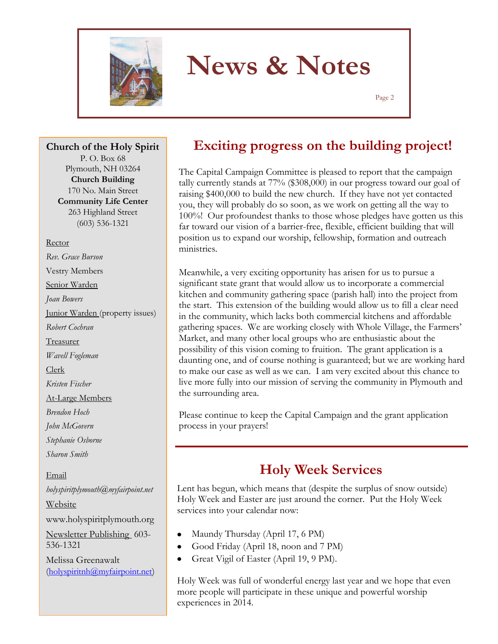

Page 2

**Church of the Holy Spirit**

P. O. Box 68 Plymouth, NH 03264 **Church Building** 170 No. Main Street **Community Life Center** 263 Highland Street (603) 536-1321

Rector *Rev. Grace Burson* Vestry Members

Senior Warden

*Joan Bowers*

Junior Warden (property issues) *Robert Cochran*

Treasurer

*Wavell Fogleman*

Clerk

*Kristen Fischer*

At-Large Members

*Brendon Hoch*

*John McGovern*

*Stephanie Osborne*

*Sharon Smith*

Email *holyspiritplymouth@myfairpoint.net* Website www.holyspiritplymouth.org Newsletter Publishing 603- 536-1321 Melissa Greenawalt (holyspiritnh@myfairpoint.net)

### **Exciting progress on the building project!**

The Capital Campaign Committee is pleased to report that the campaign tally currently stands at 77% (\$308,000) in our progress toward our goal of raising \$400,000 to build the new church. If they have not yet contacted you, they will probably do so soon, as we work on getting all the way to 100%! Our profoundest thanks to those whose pledges have gotten us this far toward our vision of a barrier-free, flexible, efficient building that will position us to expand our worship, fellowship, formation and outreach ministries.

Meanwhile, a very exciting opportunity has arisen for us to pursue a significant state grant that would allow us to incorporate a commercial kitchen and community gathering space (parish hall) into the project from the start. This extension of the building would allow us to fill a clear need in the community, which lacks both commercial kitchens and affordable gathering spaces. We are working closely with Whole Village, the Farmers' Market, and many other local groups who are enthusiastic about the possibility of this vision coming to fruition. The grant application is a daunting one, and of course nothing is guaranteed; but we are working hard to make our case as well as we can. I am very excited about this chance to live more fully into our mission of serving the community in Plymouth and the surrounding area.

Please continue to keep the Capital Campaign and the grant application process in your prayers!

## **Holy Week Services**

Lent has begun, which means that (despite the surplus of snow outside) Holy Week and Easter are just around the corner. Put the Holy Week services into your calendar now:

- Maundy Thursday (April 17, 6 PM)
- Good Friday (April 18, noon and 7 PM)  $\bullet$
- Great Vigil of Easter (April 19, 9 PM).

Holy Week was full of wonderful energy last year and we hope that even more people will participate in these unique and powerful worship experiences in 2014.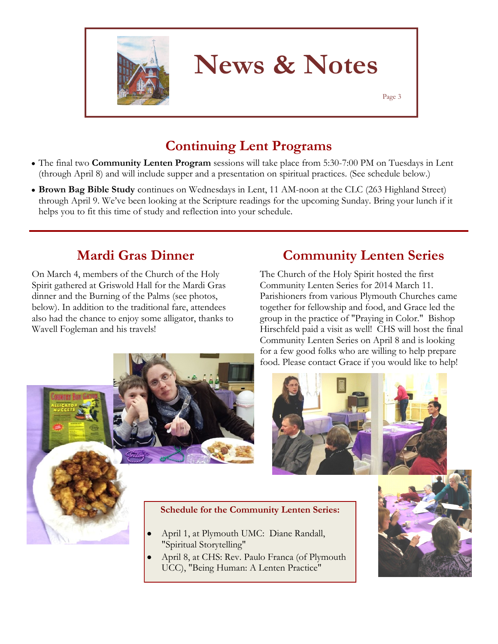

Page 3

## **Continuing Lent Programs**

- The final two **Community Lenten Program** sessions will take place from 5:30-7:00 PM on Tuesdays in Lent (through April 8) and will include supper and a presentation on spiritual practices. (See schedule below.)
- **Brown Bag Bible Study** continues on Wednesdays in Lent, 11 AM-noon at the CLC (263 Highland Street) through April 9. We've been looking at the Scripture readings for the upcoming Sunday. Bring your lunch if it helps you to fit this time of study and reflection into your schedule.

## **Mardi Gras Dinner**

On March 4, members of the Church of the Holy Spirit gathered at Griswold Hall for the Mardi Gras dinner and the Burning of the Palms (see photos, below). In addition to the traditional fare, attendees also had the chance to enjoy some alligator, thanks to Wavell Fogleman and his travels!



## **Community Lenten Series**

The Church of the Holy Spirit hosted the first Community Lenten Series for 2014 March 11. Parishioners from various Plymouth Churches came together for fellowship and food, and Grace led the group in the practice of "Praying in Color." Bishop Hirschfeld paid a visit as well! CHS will host the final Community Lenten Series on April 8 and is looking for a few good folks who are willing to help prepare food. Please contact Grace if you would like to help!



#### **Schedule for the Community Lenten Series:**

- April 1, at Plymouth UMC: Diane Randall, "Spiritual Storytelling"
- April 8, at CHS: Rev. Paulo Franca (of Plymouth UCC), "Being Human: A Lenten Practice"

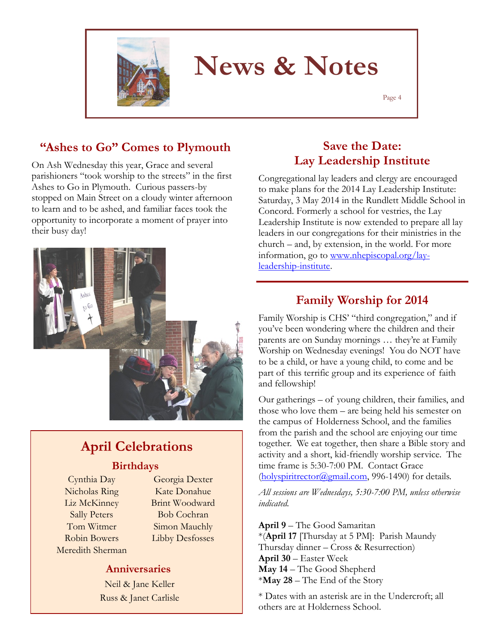

Page 4

#### **"Ashes to Go" Comes to Plymouth**

On Ash Wednesday this year, Grace and several parishioners "took worship to the streets" in the first Ashes to Go in Plymouth. Curious passers-by stopped on Main Street on a cloudy winter afternoon to learn and to be ashed, and familiar faces took the opportunity to incorporate a moment of prayer into their busy day!



## **April Celebrations**

#### **Birthdays**

Cynthia Day Nicholas Ring Liz McKinney Sally Peters Tom Witmer Robin Bowers Meredith Sherman

Georgia Dexter Kate Donahue Brint Woodward Bob Cochran Simon Mauchly Libby Desfosses

#### **Anniversaries**

Neil & Jane Keller Russ & Janet Carlisle

#### **Save the Date: Lay Leadership Institute**

Congregational lay leaders and clergy are encouraged to make plans for the 2014 Lay Leadership Institute: Saturday, 3 May 2014 in the Rundlett Middle School in Concord. Formerly a school for vestries, the Lay Leadership Institute is now extended to prepare all lay leaders in our congregations for their ministries in the church – and, by extension, in the world. For more information, go to [www.nhepiscopal.org/lay](https://us3.admin.mailchimp.com/campaigns/wizard/www.nhepiscopal.org/lay-leadership-institute)[leadership-institute.](https://us3.admin.mailchimp.com/campaigns/wizard/www.nhepiscopal.org/lay-leadership-institute) 

#### **Family Worship for 2014**

Family Worship is CHS' "third congregation," and if you've been wondering where the children and their parents are on Sunday mornings … they're at Family Worship on Wednesday evenings! You do NOT have to be a child, or have a young child, to come and be part of this terrific group and its experience of faith and fellowship!

Our gatherings – of young children, their families, and those who love them – are being held his semester on the campus of Holderness School, and the families from the parish and the school are enjoying our time together. We eat together, then share a Bible story and activity and a short, kid-friendly worship service. The time frame is 5:30-7:00 PM. Contact Grace  $(holyspiritrector@gmail.com, 996-1490)$  for details.

*All sessions are Wednesdays, 5:30-7:00 PM, unless otherwise indicated.*

**April 9** – The Good Samaritan \*(**April 17** [Thursday at 5 PM]: Parish Maundy Thursday dinner – Cross & Resurrection) **April 30** – Easter Week **May 14** – The Good Shepherd \***May 28** – The End of the Story

\* Dates with an asterisk are in the Undercroft; all others are at Holderness School.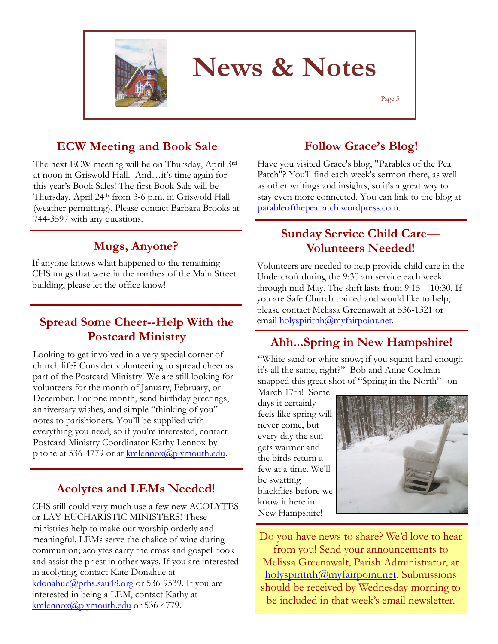

Page 5

#### **ECW Meeting and Book Sale**

The next ECW meeting will be on Thursday, April 3rd at noon in Griswold Hall. And…it's time again for this year's Book Sales! The first Book Sale will be Thursday, April 24th from 3-6 p.m. in Griswold Hall (weather permitting). Please contact Barbara Brooks at 744-3597 with any questions.

#### **Mugs, Anyone?**

If anyone knows what happened to the remaining CHS mugs that were in the narthex of the Main Street building, please let the office know!

#### **Spread Some Cheer--Help With the Postcard Ministry**

Looking to get involved in a very special corner of church life? Consider volunteering to spread cheer as part of the Postcard Ministry! We are still looking for volunteers for the month of January, February, or December. For one month, send birthday greetings, anniversary wishes, and simple "thinking of you" notes to parishioners. You'll be supplied with everything you need, so if you're interested, contact Postcard Ministry Coordinator Kathy Lennox by phone at 536-4779 or at  $\frac{\text{kmlenox}(a)$  plymouth.edu.

#### **Acolytes and LEMs Needed!**

CHS still could very much use a few new ACOLYTES or LAY EUCHARISTIC MINISTERS! These ministries help to make our worship orderly and meaningful. LEMs serve the chalice of wine during communion; acolytes carry the cross and gospel book and assist the priest in other ways. If you are interested in acolyting, contact Kate Donahue at [kdonahue@prhs.sau48.org](mailto:kdonahue@prhs.sau48.org) or 536-9539. If you are interested in being a LEM, contact Kathy at [kmlennox@plymouth.edu](mailto:kmlennox@plymouth.edu) or 536-4779.

#### **Follow Grace's Blog!**

Have you visited Grace's blog, "[Parables of the Pea](http://parableofthepeapatch.wordpress.com/)  [Patch"?](http://parableofthepeapatch.wordpress.com/) You'll find each week's sermon there, as well as other writings and insights, so it's a great way to stay even more connected. You can link to the blog at parableofthepeapatch.wordpress.com.

#### **Sunday Service Child Care— Volunteers Needed!**

Volunteers are needed to help provide child care in the Undercroft during the 9:30 am service each week through mid-May. The shift lasts from 9:15 – 10:30. If you are Safe Church trained and would like to help, please contact Melissa Greenawalt at 536-1321 or email holyspiritnh@myfairpoint.net.

#### **Ahh...Spring in New Hampshire!**

"White sand or white snow; if you squint hard enough it's all the same, right?" Bob and Anne Cochran snapped this great shot of "Spring in the North"--on

March 17th! Some days it certainly feels like spring will never come, but every day the sun gets warmer and the birds return a few at a time. We'll be swatting blackflies before we know it here in New Hampshire!



Do you have news to share? We'd love to hear from you! Send your announcements to Melissa Greenawalt, Parish Administrator, at holyspiritnh@myfairpoint.net. Submissions should be received by Wednesday morning to be included in that week's email newsletter.